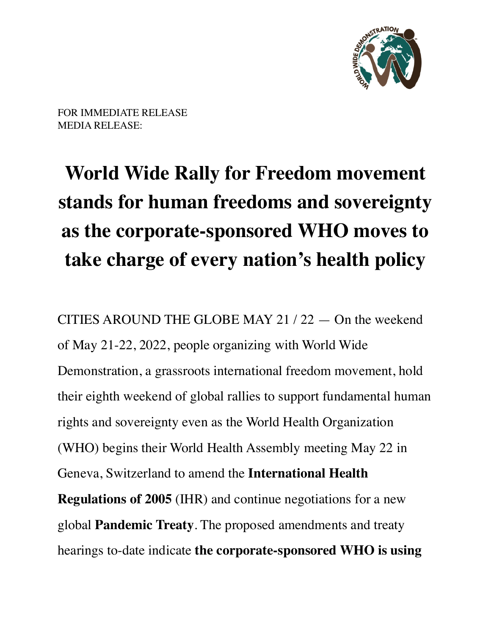

FOR IMMEDIATE RELEASE MEDIA RELEASE:

## **World Wide Rally for Freedom movement stands for human freedoms and sovereignty as the corporate-sponsored WHO moves to take charge of every nation's health policy**

CITIES AROUND THE GLOBE MAY 21 / 22 — On the weekend of May 21-22, 2022, people organizing with World Wide Demonstration, a grassroots international freedom movement, hold their eighth weekend of global rallies to support fundamental human rights and sovereignty even as the World Health Organization (WHO) begins their World Health Assembly meeting May 22 in Geneva, Switzerland to amend the **International Health Regulations of 2005** (IHR) and continue negotiations for a new global **Pandemic Treaty**. The proposed amendments and treaty hearings to-date indicate **the corporate-sponsored WHO is using**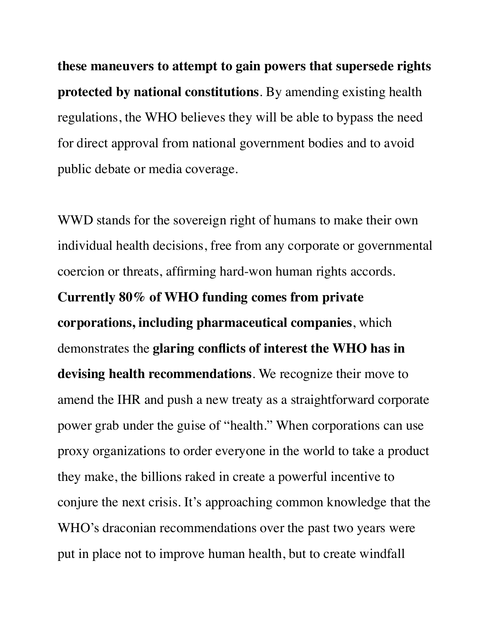**these maneuvers to attempt to gain powers that supersede rights protected by national constitutions**. By amending existing health regulations, the WHO believes they will be able to bypass the need for direct approval from national government bodies and to avoid public debate or media coverage.

WWD stands for the sovereign right of humans to make their own individual health decisions, free from any corporate or governmental coercion or threats, affirming hard-won human rights accords. **Currently 80% of WHO funding comes from private corporations, including pharmaceutical companies**, which demonstrates the **glaring conflicts of interest the WHO has in devising health recommendations**. We recognize their move to amend the IHR and push a new treaty as a straightforward corporate power grab under the guise of "health." When corporations can use proxy organizations to order everyone in the world to take a product they make, the billions raked in create a powerful incentive to conjure the next crisis. It's approaching common knowledge that the WHO's draconian recommendations over the past two years were put in place not to improve human health, but to create windfall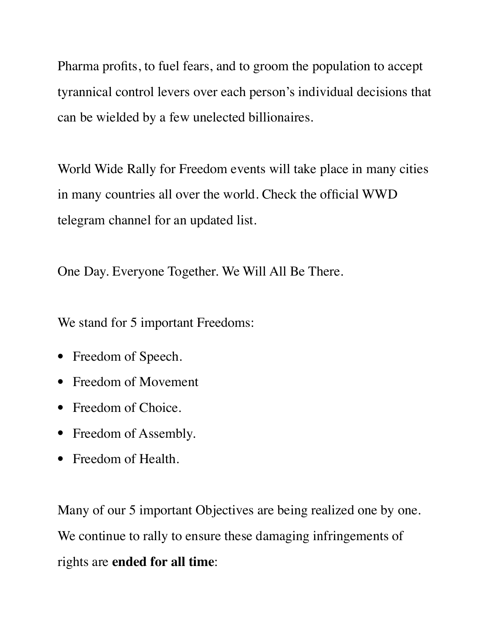Pharma profits, to fuel fears, and to groom the population to accept tyrannical control levers over each person's individual decisions that can be wielded by a few unelected billionaires.

World Wide Rally for Freedom events will take place in many cities in many countries all over the world. Check the official WWD telegram channel for an updated list.

One Day. Everyone Together. We Will All Be There.

We stand for 5 important Freedoms:

- Freedom of Speech.
- Freedom of Movement
- Freedom of Choice.
- Freedom of Assembly.
- Freedom of Health.

Many of our 5 important Objectives are being realized one by one. We continue to rally to ensure these damaging infringements of rights are **ended for all time**: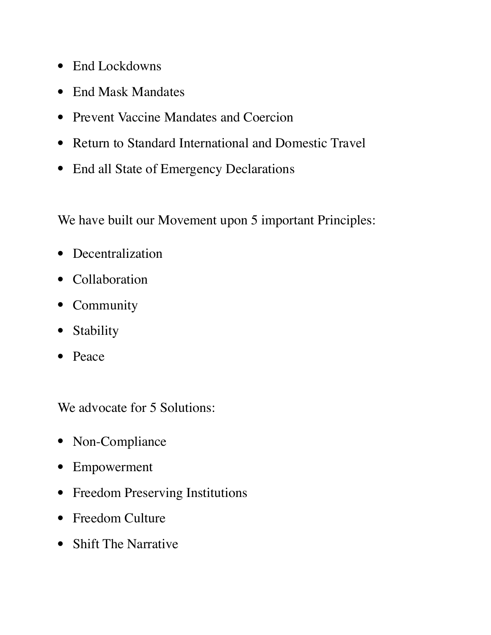- End Lockdowns
- End Mask Mandates
- Prevent Vaccine Mandates and Coercion
- Return to Standard International and Domestic Travel
- End all State of Emergency Declarations

We have built our Movement upon 5 important Principles:

- Decentralization
- Collaboration
- Community
- Stability
- Peace

We advocate for 5 Solutions:

- Non-Compliance
- Empowerment
- Freedom Preserving Institutions
- Freedom Culture
- Shift The Narrative